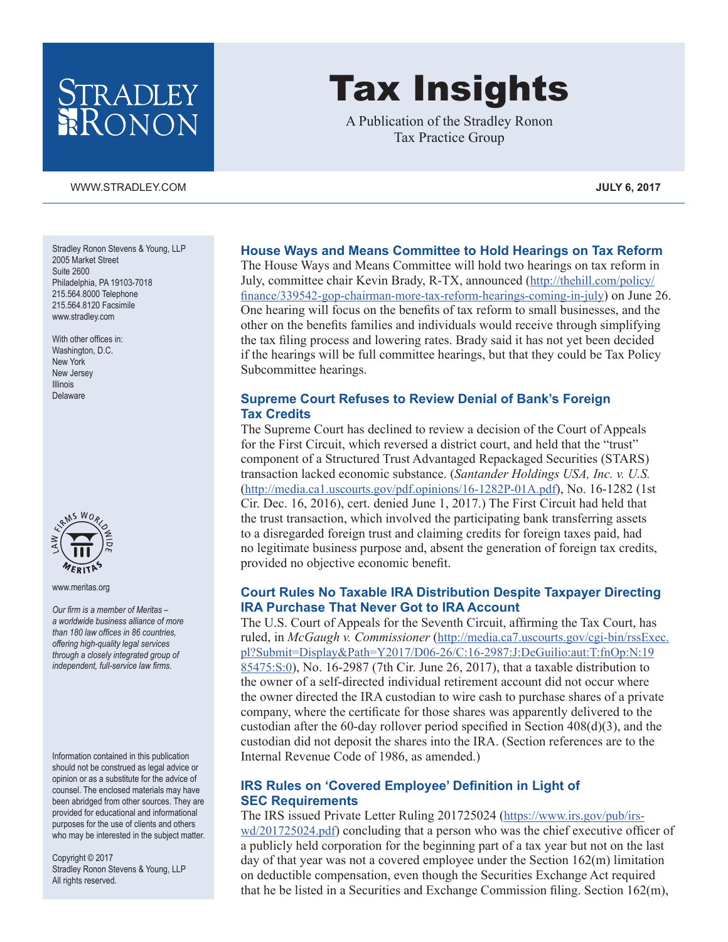## STRADLEY RONON

#### [WWW.STRADLEY.COM](www.stradley.com) **JULY 6, 2017**

Stradley Ronon Stevens & Young, LLP 2005 Market Street Suite 2600 Philadelphia, PA 19103-7018 215.564.8000 Telephone 215.564.8120 Facsimile [www.stradley.com](http://www.stradley.com)

With other offices in: Washington, D.C. New York New Jersey Illinois Delaware



[www.meritas.org](http://www.meritas.org)

*Our firm is a member of Meritas – a worldwide business alliance of more than 180 law offices in 86 countries, offering high-quality legal services through a closely integrated group of independent, full-service law firms.*

Information contained in this publication should not be construed as legal advice or opinion or as a substitute for the advice of counsel. The enclosed materials may have been abridged from other sources. They are provided for educational and informational purposes for the use of clients and others who may be interested in the subject matter.

Copyright © 2017 Stradley Ronon Stevens & Young, LLP All rights reserved.

# Tax Insights

A Publication of the Stradley Ronon Tax Practice Group

#### **House Ways and Means Committee to Hold Hearings on Tax Reform**

The House Ways and Means Committee will hold two hearings on tax reform in July, committee chair Kevin Brady, R-TX, announced [\(http://thehill.com/policy/](http://thehill.com/policy/finance/339542-gop-chairman-more-tax-reform-hearings-coming-in-july) [finance/339542-gop-chairman-more-tax-reform-hearings-coming-in-july](http://thehill.com/policy/finance/339542-gop-chairman-more-tax-reform-hearings-coming-in-july)) on June 26. One hearing will focus on the benefits of tax reform to small businesses, and the other on the benefits families and individuals would receive through simplifying the tax filing process and lowering rates. Brady said it has not yet been decided if the hearings will be full committee hearings, but that they could be Tax Policy Subcommittee hearings.

#### **Supreme Court Refuses to Review Denial of Bank's Foreign Tax Credits**

The Supreme Court has declined to review a decision of the Court of Appeals for the First Circuit, which reversed a district court, and held that the "trust" component of a Structured Trust Advantaged Repackaged Securities (STARS) transaction lacked economic substance. (*Santander Holdings USA, Inc. v. U.S.* ([http://media.ca1.uscourts.gov/pdf.opinions/16-1282P-01A.pdf\)](http://media.ca1.uscourts.gov/pdf.opinions/16-1282P-01A.pdf), No. 16-1282 (1st Cir. Dec. 16, 2016), cert. denied June 1, 2017.) The First Circuit had held that the trust transaction, which involved the participating bank transferring assets to a disregarded foreign trust and claiming credits for foreign taxes paid, had no legitimate business purpose and, absent the generation of foreign tax credits, provided no objective economic benefit.

#### **Court Rules No Taxable IRA Distribution Despite Taxpayer Directing IRA Purchase That Never Got to IRA Account**

The U.S. Court of Appeals for the Seventh Circuit, affirming the Tax Court, has ruled, in *McGaugh v. Commissioner* ([http://media.ca7.uscourts.gov/cgi-bin/rssExec.](http://media.ca7.uscourts.gov/cgi-bin/rssExec.pl?Submit=Display&Path=Y2017/D06-26/C:16-2987:J:DeGuilio:aut:T:fnOp:N:1985475:S:0) [pl?Submit=Display&Path=Y2017/D06-26/C:16-2987:J:DeGuilio:aut:T:fnOp:N:19](http://media.ca7.uscourts.gov/cgi-bin/rssExec.pl?Submit=Display&Path=Y2017/D06-26/C:16-2987:J:DeGuilio:aut:T:fnOp:N:1985475:S:0) [85475:S:0\)](http://media.ca7.uscourts.gov/cgi-bin/rssExec.pl?Submit=Display&Path=Y2017/D06-26/C:16-2987:J:DeGuilio:aut:T:fnOp:N:1985475:S:0), No. 16-2987 (7th Cir. June 26, 2017), that a taxable distribution to the owner of a self-directed individual retirement account did not occur where the owner directed the IRA custodian to wire cash to purchase shares of a private company, where the certificate for those shares was apparently delivered to the custodian after the 60-day rollover period specified in Section 408(d)(3), and the custodian did not deposit the shares into the IRA. (Section references are to the Internal Revenue Code of 1986, as amended.)

#### **IRS Rules on 'Covered Employee' Definition in Light of SEC Requirements**

The IRS issued Private Letter Ruling 201725024 ([https://www.irs.gov/pub/irs](https://www.irs.gov/pub/irs-wd/201725024.pdf)[wd/201725024.pdf](https://www.irs.gov/pub/irs-wd/201725024.pdf)) concluding that a person who was the chief executive officer of a publicly held corporation for the beginning part of a tax year but not on the last day of that year was not a covered employee under the Section 162(m) limitation on deductible compensation, even though the Securities Exchange Act required that he be listed in a Securities and Exchange Commission filing. Section 162(m),